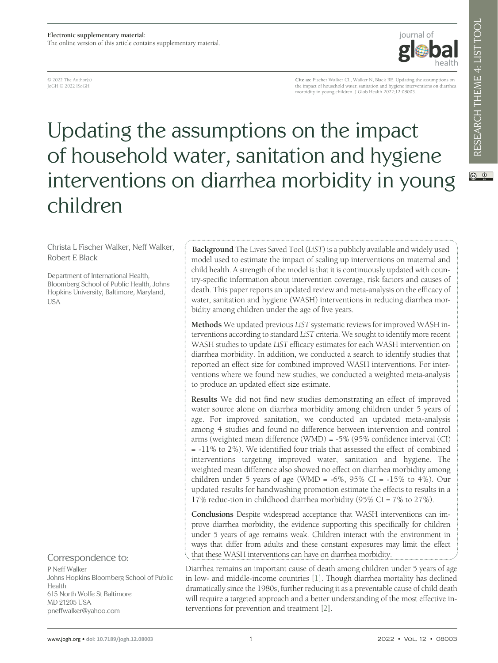© 2022 The Author(s) JoGH © 2022 ISoGH

**Cite as:** Fischer Walker CL, Walker N, Black RE. Updating the assumptions on the impact of household water, sanitation and hygiene interventions on diarrhea morbidity in young children. J Glob Health 2022;12:08003.

iournal of

# Updating the assumptions on the impact of household water, sanitation and hygiene interventions on diarrhea morbidity in young children

Christa L Fischer Walker, Neff Walker, Robert E Black

Department of International Health, Bloomberg School of Public Health, Johns Hopkins University, Baltimore, Maryland, USA

#### Correspondence to:

P Neff Walker Johns Hopkins Bloomberg School of Public Health 615 North Wolfe St Baltimore MD 21205 USA pneffwalker@yahoo.com

**Background** The Lives Saved Tool (*LiST*) is a publicly available and widely used model used to estimate the impact of scaling up interventions on maternal and child health. A strength of the model is that it is continuously updated with country-specific information about intervention coverage, risk factors and causes of death. This paper reports an updated review and meta-analysis on the efficacy of water, sanitation and hygiene (WASH) interventions in reducing diarrhea morbidity among children under the age of five years.

**Methods** We updated previous *LiST* systematic reviews for improved WASH interventions according to standard *LiST* criteria. We sought to identify more recent WASH studies to update *LiST* efficacy estimates for each WASH intervention on diarrhea morbidity. In addition, we conducted a search to identify studies that reported an effect size for combined improved WASH interventions. For interventions where we found new studies, we conducted a weighted meta-analysis to produce an updated effect size estimate.

**Results** We did not find new studies demonstrating an effect of improved water source alone on diarrhea morbidity among children under 5 years of age. For improved sanitation, we conducted an updated meta-analysis among 4 studies and found no difference between intervention and control arms (weighted mean difference (WMD) = -5% (95% confidence interval (CI) = -11% to 2%). We identified four trials that assessed the effect of combined interventions targeting improved water, sanitation and hygiene. The weighted mean difference also showed no effect on diarrhea morbidity among children under 5 years of age (WMD =  $-6\%$ , 95% CI =  $-15\%$  to 4%). Our updated results for handwashing promotion estimate the effects to results in a 17% reduc-tion in childhood diarrhea morbidity (95% CI = 7% to 27%).

**Conclusions** Despite widespread acceptance that WASH interventions can improve diarrhea morbidity, the evidence supporting this specifically for children under 5 years of age remains weak. Children interact with the environment in ways that differ from adults and these constant exposures may limit the effect that these WASH interventions can have on diarrhea morbidity.

Diarrhea remains an important cause of death among children under 5 years of age in low- and middle-income countries [\[1](#page-5-0)]. Though diarrhea mortality has declined dramatically since the 1980s, further reducing it as a preventable cause of child death will require a targeted approach and a better understanding of the most effective interventions for prevention and treatment [\[2](#page-5-1)].

 $\circledcirc$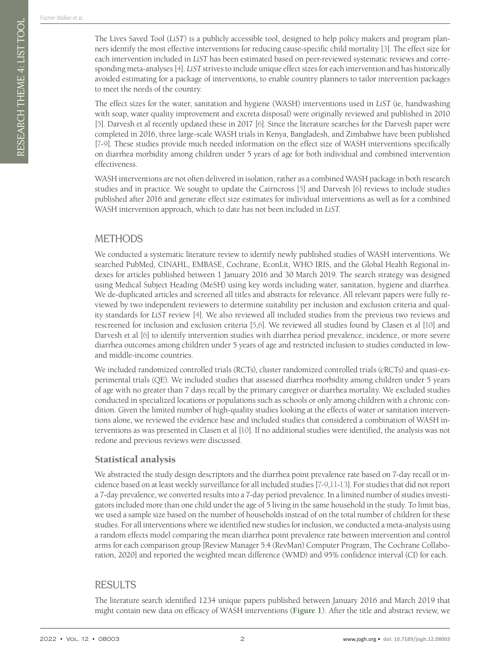The Lives Saved Tool (*LiST*) is a publicly accessible tool, designed to help policy makers and program planners identify the most effective interventions for reducing cause-specific child mortality [\[3](#page-5-2)]. The effect size for each intervention included in *LiST* has been estimated based on peer-reviewed systematic reviews and corresponding meta-analyses [\[4](#page-5-3)]. *LiST* strives to include unique effect sizes for each intervention and has historically avoided estimating for a package of interventions, to enable country planners to tailor intervention packages to meet the needs of the country.

The effect sizes for the water, sanitation and hygiene (WASH) interventions used in *LiST* (ie, handwashing with soap, water quality improvement and excreta disposal) were originally reviewed and published in 2010 [\[5\]](#page-5-4). Darvesh et al recently updated these in 2017 [\[6\]](#page-6-0). Since the literature searches for the Darvesh paper were completed in 2016, three large-scale WASH trials in Kenya, Bangladesh, and Zimbabwe have been published [\[7-](#page-6-1)[9\]](#page-6-2). These studies provide much needed information on the effect size of WASH interventions specifically on diarrhea morbidity among children under 5 years of age for both individual and combined intervention effectiveness.

WASH interventions are not often delivered in isolation, rather as a combined WASH package in both research studies and in practice. We sought to update the Cairncross [\[5\]](#page-5-4) and Darvesh [\[6\]](#page-6-0) reviews to include studies published after 2016 and generate effect size estimates for individual interventions as well as for a combined WASH intervention approach, which to date has not been included in *LiST.*

## METHODS

We conducted a systematic literature review to identify newly published studies of WASH interventions. We searched PubMed, CINAHL, EMBASE, Cochrane, EconLit, WHO IRIS, and the Global Health Regional indexes for articles published between 1 January 2016 and 30 March 2019. The search strategy was designed using Medical Subject Heading (MeSH) using key words including water, sanitation, hygiene and diarrhea. We de-duplicated articles and screened all titles and abstracts for relevance. All relevant papers were fully reviewed by two independent reviewers to determine suitability per inclusion and exclusion criteria and quality standards for *LiST* review [[4](#page-5-3)]. We also reviewed all included studies from the previous two reviews and rescreened for inclusion and exclusion criteria [\[5](#page-5-4),[6](#page-6-0)]. We reviewed all studies found by Clasen et al [\[10\]](#page-6-3) and Darvesh et al [\[6\]](#page-6-0) to identify intervention studies with diarrhea period prevalence, incidence, or more severe diarrhea outcomes among children under 5 years of age and restricted inclusion to studies conducted in lowand middle-income countries.

We included randomized controlled trials (RCTs), cluster randomized controlled trials (cRCTs) and quasi-experimental trials (QE). We included studies that assessed diarrhea morbidity among children under 5 years of age with no greater than 7 days recall by the primary caregiver or diarrhea mortality. We excluded studies conducted in specialized locations or populations such as schools or only among children with a chronic condition. Given the limited number of high-quality studies looking at the effects of water or sanitation interventions alone, we reviewed the evidence base and included studies that considered a combination of WASH interventions as was presented in Clasen et al [\[10](#page-6-3)]. If no additional studies were identified, the analysis was not redone and previous reviews were discussed.

### Statistical analysis

We abstracted the study design descriptors and the diarrhea point prevalence rate based on 7-day recall or incidence based on at least weekly surveillance for all included studies [\[7](#page-6-1)-[9](#page-6-2)[,11](#page-6-4)[-13\]](#page-6-5). For studies that did not report a 7-day prevalence, we converted results into a 7-day period prevalence. In a limited number of studies investigators included more than one child under the age of 5 living in the same household in the study. To limit bias, we used a sample size based on the number of households instead of on the total number of children for these studies. For all interventions where we identified new studies for inclusion, we conducted a meta-analysis using a random effects model comparing the mean diarrhea point prevalence rate between intervention and control arms for each comparison group [Review Manager 5.4 (RevMan) Computer Program, The Cochrane Collaboration, 2020] and reported the weighted mean difference (WMD) and 95% confidence interval (CI) for each.

## RESULTS

The literature search identified 1234 unique papers published between January 2016 and March 2019 that might contain new data on efficacy of WASH interventions (**[Figure](#page-2-0) 1**). After the title and abstract review, we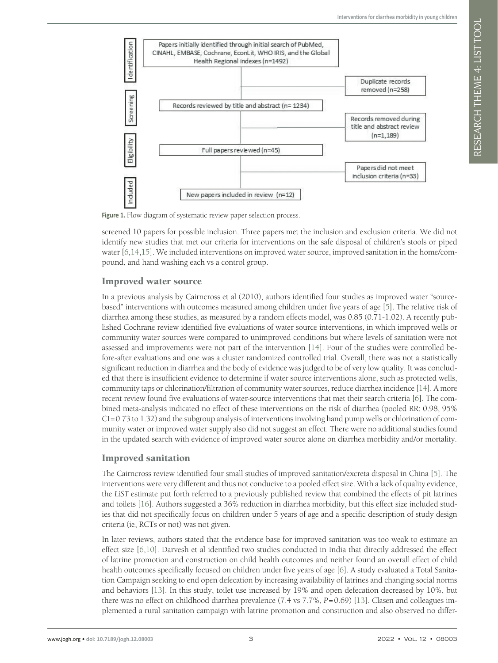RESEARCH THEME 4: LIST TOOL



<span id="page-2-0"></span>Figure 1. Flow diagram of systematic review paper selection process.

screened 10 papers for possible inclusion. Three papers met the inclusion and exclusion criteria. We did not identify new studies that met our criteria for interventions on the safe disposal of children's stools or piped water [[6](#page-6-0)[,14](#page-6-6)[,15](#page-6-7)]. We included interventions on improved water source, improved sanitation in the home/compound, and hand washing each vs a control group.

### Improved water source

In a previous analysis by Cairncross et al (2010), authors identified four studies as improved water "sourcebased" interventions with outcomes measured among children under five years of age [\[5](#page-5-4)]. The relative risk of diarrhea among these studies, as measured by a random effects model, was 0.85 (0.71-1.02). A recently published Cochrane review identified five evaluations of water source interventions, in which improved wells or community water sources were compared to unimproved conditions but where levels of sanitation were not assessed and improvements were not part of the intervention [[14](#page-6-6)]. Four of the studies were controlled before-after evaluations and one was a cluster randomized controlled trial. Overall, there was not a statistically significant reduction in diarrhea and the body of evidence was judged to be of very low quality. It was concluded that there is insufficient evidence to determine if water source interventions alone, such as protected wells, community taps or chlorination/filtration of community water sources, reduce diarrhea incidence [\[14](#page-6-6)]. A more recent review found five evaluations of water-source interventions that met their search criteria [\[6](#page-6-0)]. The combined meta-analysis indicated no effect of these interventions on the risk of diarrhea (pooled RR: 0.98, 95% CI=0.73 to 1.32) and the subgroup analysis of interventions involving hand pump wells or chlorination of community water or improved water supply also did not suggest an effect. There were no additional studies found in the updated search with evidence of improved water source alone on diarrhea morbidity and/or mortality.

### Improved sanitation

The Cairncross review identified four small studies of improved sanitation/excreta disposal in China [[5\]](#page-5-4). The interventions were very different and thus not conducive to a pooled effect size. With a lack of quality evidence, the *LiST* estimate put forth referred to a previously published review that combined the effects of pit latrines and toilets [\[16](#page-6-8)]. Authors suggested a 36% reduction in diarrhea morbidity, but this effect size included studies that did not specifically focus on children under 5 years of age and a specific description of study design criteria (ie, RCTs or not) was not given.

In later reviews, authors stated that the evidence base for improved sanitation was too weak to estimate an effect size [[6](#page-6-0)[,10\]](#page-6-3). Darvesh et al identified two studies conducted in India that directly addressed the effect of latrine promotion and construction on child health outcomes and neither found an overall effect of child health outcomes specifically focused on children under five years of age [\[6](#page-6-0)]. A study evaluated a Total Sanitation Campaign seeking to end open defecation by increasing availability of latrines and changing social norms and behaviors [[13](#page-6-5)]. In this study, toilet use increased by 19% and open defecation decreased by 10%, but there was no effect on childhood diarrhea prevalence (7.4 vs 7.7%,  $P=0.69$ ) [\[13\]](#page-6-5). Clasen and colleagues implemented a rural sanitation campaign with latrine promotion and construction and also observed no differ-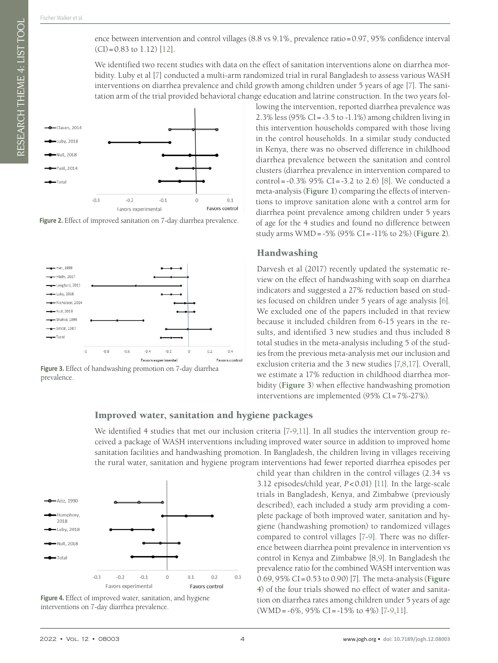RESEARCH THEME 4: LIST TOOL

We identified two recent studies with data on the effect of sanitation interventions alone on diarrhea morbidity. Luby et al [\[7\]](#page-6-1) conducted a multi-arm randomized trial in rural Bangladesh to assess various WASH interventions on diarrhea prevalence and child growth among children under 5 years of age [\[7](#page-6-1)]. The sanitation arm of the trial provided behavioral change education and latrine construction. In the two years fol-



<span id="page-3-0"></span>Figure 2. Effect of improved sanitation on 7-day diarrhea prevalence.



<span id="page-3-1"></span>**Figure 3.** Effect of handwashing promotion on 7-day diarrhea prevalence.

#### Improved water, sanitation and hygiene packages

We identified 4 studies that met our inclusion criteria [\[7-](#page-6-1)[9,](#page-6-2)[11](#page-6-4)]. In all studies the intervention group received a package of WASH interventions including improved water source in addition to improved home sanitation facilities and handwashing promotion. In Bangladesh, the children living in villages receiving the rural water, sanitation and hygiene program interventions had fewer reported diarrhea episodes per



<span id="page-3-2"></span>**Figure 4.** Effect of improved water, sanitation, and hygiene interventions on 7-day diarrhea prevalence.

lowing the intervention, reported diarrhea prevalence was 2.3% less (95% CI=-3.5 to -1.1%) among children living in this intervention households compared with those living in the control households. In a similar study conducted in Kenya, there was no observed difference in childhood diarrhea prevalence between the sanitation and control clusters (diarrhea prevalence in intervention compared to control =  $-0.3\%$  95% CI =  $-3.2$  to 2.6) [\[8\]](#page-6-10). We conducted a meta-analysis (**[Figure](#page-2-0) 1**) comparing the effects of interventions to improve sanitation alone with a control arm for diarrhea point prevalence among children under 5 years of age for the 4 studies and found no difference between study arms WMD=-5% (95% CI=-11% to 2%) (**[Figure](#page-3-0) 2**).

#### Handwashing

Darvesh et al (2017) recently updated the systematic review on the effect of handwashing with soap on diarrhea indicators and suggested a 27% reduction based on studies focused on children under 5 years of age analysis [\[6](#page-6-0)]. We excluded one of the papers included in that review because it included children from 6-15 years in the results, and identified 3 new studies and thus included 8 total studies in the meta-analysis including 5 of the studies from the previous meta-analysis met our inclusion and exclusion criteria and the 3 new studies [\[7](#page-6-1)[,8](#page-6-10),[17\]](#page-6-11). Overall, we estimate a 17% reduction in childhood diarrhea morbidity (**[Figure](#page-3-1) 3**) when effective handwashing promotion interventions are implemented (95% CI=7%-27%).

child year than children in the control villages (2.34 vs 3.12 episodes/child year, *P*<0.01) [\[11\]](#page-6-4). In the large-scale trials in Bangladesh, Kenya, and Zimbabwe (previously described), each included a study arm providing a complete package of both improved water, sanitation and hygiene (handwashing promotion) to randomized villages compared to control villages [\[7](#page-6-1)-[9\]](#page-6-2). There was no difference between diarrhea point prevalence in intervention vs control in Kenya and Zimbabwe [8[,9](#page-6-2)]. In Bangladesh the prevalence ratio for the combined WASH intervention was 0.69, 95% CI=0.53 to 0.90) [7]. The meta-analysis (**[Figure](#page-3-2) [4](#page-3-2)**) of the four trials showed no effect of water and sanitation on diarrhea rates among children under 5 years of age

(WMD=-6%, 95% CI=-15% to 4%) [[7](#page-6-1)-[9](#page-6-2),[11\]](#page-6-4).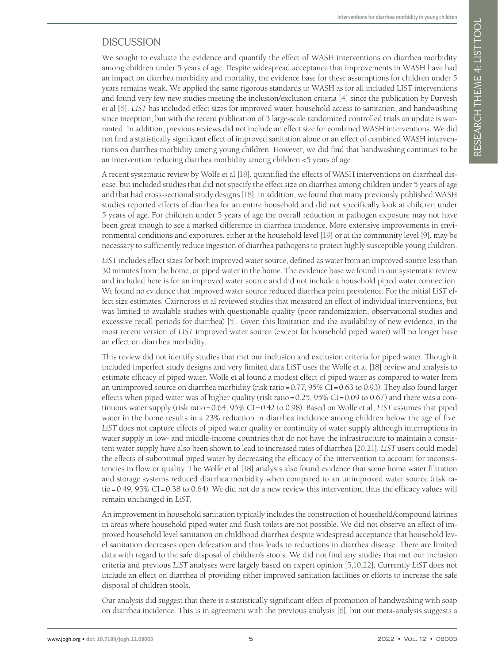RESEARCH THEME 4: LIST TOOL

## **DISCUSSION**

We sought to evaluate the evidence and quantify the effect of WASH interventions on diarrhea morbidity among children under 5 years of age. Despite widespread acceptance that improvements in WASH have had an impact on diarrhea morbidity and mortality, the evidence base for these assumptions for children under 5 years remains weak. We applied the same rigorous standards to WASH as for all included LIST interventions and found very few new studies meeting the inclusion/exclusion criteria [\[4](#page-5-3)] since the publication by Darvesh et al [\[6](#page-6-0)]. *LIST* has included effect sizes for improved water, household access to sanitation, and handwashing since inception, but with the recent publication of 3 large-scale randomized controlled trials an update is warranted. In addition, previous reviews did not include an effect size for combined WASH interventions. We did not find a statistically significant effect of improved sanitation alone or an effect of combined WASH interventions on diarrhea morbidity among young children. However, we did find that handwashing continues to be an intervention reducing diarrhea morbidity among children <5 years of age.

A recent systematic review by Wolfe et al [\[18\]](#page-6-12), quantified the effects of WASH interventions on diarrheal disease, but included studies that did not specify the effect size on diarrhea among children under 5 years of age and that had cross-sectional study designs [\[18](#page-6-12)]. In addition, we found that many previously published WASH studies reported effects of diarrhea for an entire household and did not specifically look at children under 5 years of age. For children under 5 years of age the overall reduction in pathogen exposure may not have been great enough to see a marked difference in diarrhea incidence. More extensive improvements in environmental conditions and exposures, either at the household level [\[19](#page-6-13)] or at the community level [9], may be necessary to sufficiently reduce ingestion of diarrhea pathogens to protect highly susceptible young children.

*LiST* includes effect sizes for both improved water source, defined as water from an improved source less than 30 minutes from the home, or piped water in the home. The evidence base we found in our systematic review and included here is for an improved water source and did not include a household piped water connection. We found no evidence that improved water source reduced diarrhea point prevalence. For the initial *LiST* effect size estimates, Cairncross et al reviewed studies that measured an effect of individual interventions, but was limited to available studies with questionable quality (poor randomization, observational studies and excessive recall periods for diarrhea) [\[5\]](#page-5-4). Given this limitation and the availability of new evidence, in the most recent version of *LiST* improved water source (except for household piped water) will no longer have an effect on diarrhea morbidity.

This review did not identify studies that met our inclusion and exclusion criteria for piped water. Though it included imperfect study designs and very limited data *LiST* uses the Wolfe et al [18] review and analysis to estimate efficacy of piped water. Wolfe et al found a modest effect of piped water as compared to water from an unimproved source on diarrhea morbidity (risk ratio=0.77, 95% CI=0.63 to 0.93). They also found larger effects when piped water was of higher quality (risk ratio=0.25,  $95\%$  CI=0.09 to 0.67) and there was a continuous water supply (risk ratio=0.64, 95% CI=0.42 to 0.98). Based on Wolfe et al, *LiST* assumes that piped water in the home results in a 23% reduction in diarrhea incidence among children below the age of five. *LiST* does not capture effects of piped water quality or continuity of water supply although interruptions in water supply in low- and middle-income countries that do not have the infrastructure to maintain a consistent water supply have also been shown to lead to increased rates of diarrhea [\[20](#page-6-14),[21](#page-6-15)]. *LiST* users could model the effects of suboptimal piped water by decreasing the efficacy of the intervention to account for inconsistencies in flow or quality. The Wolfe et al [18] analysis also found evidence that some home water filtration and storage systems reduced diarrhea morbidity when compared to an unimproved water source (risk ratio=0.49, 95% CI=0.38 to 0.64). We did not do a new review this intervention, thus the efficacy values will remain unchanged in *LiST*.

An improvement in household sanitation typically includes the construction of household/compound latrines in areas where household piped water and flush toilets are not possible. We did not observe an effect of improved household level sanitation on childhood diarrhea despite widespread acceptance that household level sanitation decreases open defecation and thus leads to reductions in diarrhea disease. There are limited data with regard to the safe disposal of children's stools. We did not find any studies that met our inclusion criteria and previous *LiST* analyses were largely based on expert opinion [\[5](#page-5-4)[,10,](#page-6-3)[22](#page-6-16)]. Currently *LiST* does not include an effect on diarrhea of providing either improved sanitation facilities or efforts to increase the safe disposal of children stools.

Our analysis did suggest that there is a statistically significant effect of promotion of handwashing with soap on diarrhea incidence. This is in agreement with the previous analysis [\[6\]](#page-6-0), but our meta-analysis suggests a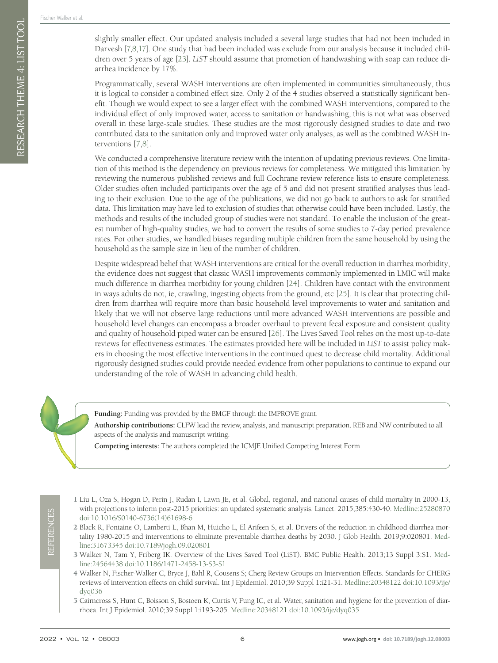RESEARCH THEME 4: LIST TOOL

slightly smaller effect. Our updated analysis included a several large studies that had not been included in Darvesh [\[7,](#page-6-1)[8](#page-6-10)[,17\]](#page-6-11). One study that had been included was exclude from our analysis because it included children over 5 years of age [\[23\]](#page-6-17). *LiST* should assume that promotion of handwashing with soap can reduce diarrhea incidence by 17%.

Programmatically, several WASH interventions are often implemented in communities simultaneously, thus it is logical to consider a combined effect size. Only 2 of the 4 studies observed a statistically significant benefit. Though we would expect to see a larger effect with the combined WASH interventions, compared to the individual effect of only improved water, access to sanitation or handwashing, this is not what was observed overall in these large-scale studies. These studies are the most rigorously designed studies to date and two contributed data to the sanitation only and improved water only analyses, as well as the combined WASH interventions [[7](#page-6-1)[,8](#page-6-10)].

We conducted a comprehensive literature review with the intention of updating previous reviews. One limitation of this method is the dependency on previous reviews for completeness. We mitigated this limitation by reviewing the numerous published reviews and full Cochrane review reference lists to ensure completeness. Older studies often included participants over the age of 5 and did not present stratified analyses thus leading to their exclusion. Due to the age of the publications, we did not go back to authors to ask for stratified data. This limitation may have led to exclusion of studies that otherwise could have been included. Lastly, the methods and results of the included group of studies were not standard. To enable the inclusion of the greatest number of high-quality studies, we had to convert the results of some studies to 7-day period prevalence rates. For other studies, we handled biases regarding multiple children from the same household by using the household as the sample size in lieu of the number of children.

Despite widespread belief that WASH interventions are critical for the overall reduction in diarrhea morbidity, the evidence does not suggest that classic WASH improvements commonly implemented in LMIC will make much difference in diarrhea morbidity for young children [[24\]](#page-6-18). Children have contact with the environment in ways adults do not, ie, crawling, ingesting objects from the ground, etc [\[25](#page-6-19)]. It is clear that protecting children from diarrhea will require more than basic household level improvements to water and sanitation and likely that we will not observe large reductions until more advanced WASH interventions are possible and household level changes can encompass a broader overhaul to prevent fecal exposure and consistent quality and quality of household piped water can be ensured [\[26](#page-6-20)]. The Lives Saved Tool relies on the most up-to-date reviews for effectiveness estimates. The estimates provided here will be included in *LiST* to assist policy makers in choosing the most effective interventions in the continued quest to decrease child mortality. Additional rigorously designed studies could provide needed evidence from other populations to continue to expand our understanding of the role of WASH in advancing child health.

**Funding:** Funding was provided by the BMGF through the IMPROVE grant.

**Authorship contributions:** CLFW lead the review, analysis, and manuscript preparation. REB and NW contributed to all aspects of the analysis and manuscript writing.

**Competing interests:** The authors completed the ICMJE Unified Competing Interest Form

<span id="page-5-0"></span>1 Liu L, Oza S, Hogan D, Perin J, Rudan I, Lawn JE, et al. Global, regional, and national causes of child mortality in 2000-13, with projections to inform post-2015 priorities: an updated systematic analysis. Lancet. 2015;385:430-40. [Medline:25280870](https://www.ncbi.nlm.nih.gov/entrez/query.fcgi?cmd=Retrieve&db=PubMed&list_uids=25280870&dopt=Abstract) [doi:10.1016/S0140-6736\(14\)61698-6](https://doi.org/10.1016/S0140-6736(14)61698-6)

<span id="page-5-1"></span>2 Black R, Fontaine O, Lamberti L, Bhan M, Huicho L, El Arifeen S, et al. Drivers of the reduction in childhood diarrhea mortality 1980-2015 and interventions to eliminate preventable diarrhea deaths by 2030. J Glob Health. 2019;9:020801. [Med](https://www.ncbi.nlm.nih.gov/entrez/query.fcgi?cmd=Retrieve&db=PubMed&list_uids=31673345&dopt=Abstract)[line:31673345](https://www.ncbi.nlm.nih.gov/entrez/query.fcgi?cmd=Retrieve&db=PubMed&list_uids=31673345&dopt=Abstract) [doi:10.7189/jogh.09.020801](https://doi.org/10.7189/jogh.09.020801)

<span id="page-5-2"></span>3 Walker N, Tam Y, Friberg IK. Overview of the Lives Saved Tool (LiST). BMC Public Health. 2013;13 Suppl 3:S1. [Med](https://www.ncbi.nlm.nih.gov/entrez/query.fcgi?cmd=Retrieve&db=PubMed&list_uids=24564438&dopt=Abstract)[line:24564438](https://www.ncbi.nlm.nih.gov/entrez/query.fcgi?cmd=Retrieve&db=PubMed&list_uids=24564438&dopt=Abstract) [doi:10.1186/1471-2458-13-S3-S1](https://doi.org/10.1186/1471-2458-13-S3-S1)

- <span id="page-5-3"></span>4 Walker N, Fischer-Walker C, Bryce J, Bahl R, Cousens S; Cherg Review Groups on Intervention Effects. Standards for CHERG reviews of intervention effects on child survival. Int J Epidemiol. 2010;39 Suppl 1:i21-31. [Medline:20348122](https://www.ncbi.nlm.nih.gov/entrez/query.fcgi?cmd=Retrieve&db=PubMed&list_uids=20348122&dopt=Abstract) [doi:10.1093/ije/](https://doi.org/10.1093/ije/dyq036) [dyq036](https://doi.org/10.1093/ije/dyq036)
- <span id="page-5-4"></span>5 Cairncross S, Hunt C, Boisson S, Bostoen K, Curtis V, Fung IC, et al. Water, sanitation and hygiene for the prevention of diarrhoea. Int J Epidemiol. 2010;39 Suppl 1:i193-205. [Medline:20348121](https://www.ncbi.nlm.nih.gov/entrez/query.fcgi?cmd=Retrieve&db=PubMed&list_uids=20348121&dopt=Abstract) [doi:10.1093/ije/dyq035](https://doi.org/10.1093/ije/dyq035)